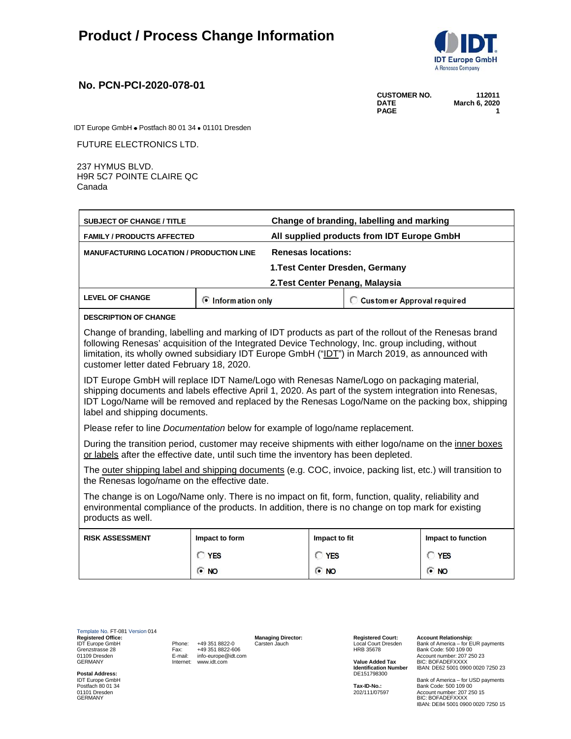

## **No. PCN-PCI-2020-078-01**

| <b>CUSTOMER NO.</b> | 112011        |  |  |
|---------------------|---------------|--|--|
| <b>DATE</b>         | March 6, 2020 |  |  |
| <b>PAGE</b>         |               |  |  |

IDT Europe GmbH · Postfach 80 01 34 · 01101 Dresden

FUTURE ELECTRONICS LTD.

237 HYMUS BLVD. H9R 5C7 POINTE CLAIRE QC Canada

| <b>SUBJECT OF CHANGE / TITLE</b>                                                                                                                                                                                                                                                                                                                           |                                            | Change of branding, labelling and marking |                              |                    |
|------------------------------------------------------------------------------------------------------------------------------------------------------------------------------------------------------------------------------------------------------------------------------------------------------------------------------------------------------------|--------------------------------------------|-------------------------------------------|------------------------------|--------------------|
| <b>FAMILY / PRODUCTS AFFECTED</b>                                                                                                                                                                                                                                                                                                                          | All supplied products from IDT Europe GmbH |                                           |                              |                    |
| <b>MANUFACTURING LOCATION / PRODUCTION LINE</b>                                                                                                                                                                                                                                                                                                            |                                            | <b>Renesas locations:</b>                 |                              |                    |
|                                                                                                                                                                                                                                                                                                                                                            |                                            | 1. Test Center Dresden, Germany           |                              |                    |
|                                                                                                                                                                                                                                                                                                                                                            |                                            | 2. Test Center Penang, Malaysia           |                              |                    |
| <b>LEVEL OF CHANGE</b>                                                                                                                                                                                                                                                                                                                                     | <b><i>C</i></b> Information only           |                                           | C Customer Approval required |                    |
| <b>DESCRIPTION OF CHANGE</b>                                                                                                                                                                                                                                                                                                                               |                                            |                                           |                              |                    |
| Change of branding, labelling and marking of IDT products as part of the rollout of the Renesas brand<br>following Renesas' acquisition of the Integrated Device Technology, Inc. group including, without<br>limitation, its wholly owned subsidiary IDT Europe GmbH ("IDT") in March 2019, as announced with<br>customer letter dated February 18, 2020. |                                            |                                           |                              |                    |
| IDT Europe GmbH will replace IDT Name/Logo with Renesas Name/Logo on packaging material,<br>shipping documents and labels effective April 1, 2020. As part of the system integration into Renesas,<br>IDT Logo/Name will be removed and replaced by the Renesas Logo/Name on the packing box, shipping<br>label and shipping documents.                    |                                            |                                           |                              |                    |
| Please refer to line <i>Documentation</i> below for example of logo/name replacement.                                                                                                                                                                                                                                                                      |                                            |                                           |                              |                    |
| During the transition period, customer may receive shipments with either logo/name on the inner boxes<br>or labels after the effective date, until such time the inventory has been depleted.                                                                                                                                                              |                                            |                                           |                              |                    |
| The outer shipping label and shipping documents (e.g. COC, invoice, packing list, etc.) will transition to<br>the Renesas logo/name on the effective date.                                                                                                                                                                                                 |                                            |                                           |                              |                    |
| The change is on Logo/Name only. There is no impact on fit, form, function, quality, reliability and<br>environmental compliance of the products. In addition, there is no change on top mark for existing<br>products as well.                                                                                                                            |                                            |                                           |                              |                    |
| <b>RISK ASSESSMENT</b>                                                                                                                                                                                                                                                                                                                                     | Impact to form                             | Impact to fit                             |                              | Impact to function |
|                                                                                                                                                                                                                                                                                                                                                            | <b>CYES</b>                                | <b>C</b> YES                              |                              | <b>CYES</b>        |
|                                                                                                                                                                                                                                                                                                                                                            | <b>C</b> NO                                | <b>ON</b>                                 |                              | $\bullet$ NO       |

Template No. FT-081 Version 014<br> **Registered Office:**<br>
IDT Europe GmbH<br>
Grenzstrasse 28<br>
01109 Dresden<br>
GERMANY **Registered Office: Managing Director: Registered Court: Account Relationship:** IDT Europe GmbH Phone: +49 351 8822-0 Carsten Jauch Local Court Dresden Bank of America – for EUR payments Grenzstrasse 28 Fax: +49 351 8822-606 HRB 35678 Bank Code: 500 109 00 01109 Dresden E-mail: info-europe@idt.com Account number: 207 250 23 GERMANY **Internet: www.idt.com <b>Value Added Tax** BIC: BOFADEFXXXX

**Postal Address:**<br>IDT Europe GmbH<br>Postfach 80 01 34

**Identification Number** IBAN: DE62 5001 0900 0020 7250 23<br>DE151798300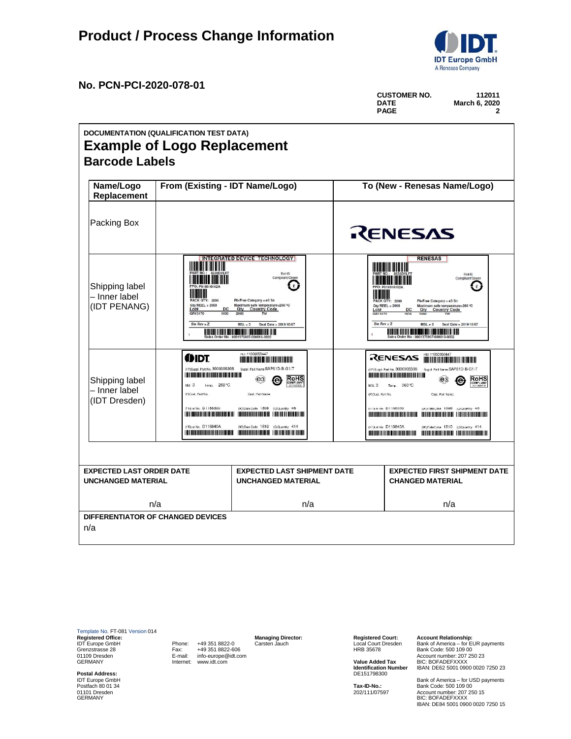

**DATE March 6, 2020**

**CUSTOMER NO. 112011**

**No. PCN-PCI-2020-078-01**

|                                                              |                                                                                                                                                    |                                                                                                                                                                                                                                                                                                             |                                                         | <b>PAGE</b>                                                                                                                                                                                                                                                                                                                                                                                                               | $\mathbf{2}$                                           |
|--------------------------------------------------------------|----------------------------------------------------------------------------------------------------------------------------------------------------|-------------------------------------------------------------------------------------------------------------------------------------------------------------------------------------------------------------------------------------------------------------------------------------------------------------|---------------------------------------------------------|---------------------------------------------------------------------------------------------------------------------------------------------------------------------------------------------------------------------------------------------------------------------------------------------------------------------------------------------------------------------------------------------------------------------------|--------------------------------------------------------|
|                                                              | DOCUMENTATION (QUALIFICATION TEST DATA)<br><b>Example of Logo Replacement</b>                                                                      |                                                                                                                                                                                                                                                                                                             |                                                         |                                                                                                                                                                                                                                                                                                                                                                                                                           |                                                        |
| <b>Barcode Labels</b>                                        |                                                                                                                                                    |                                                                                                                                                                                                                                                                                                             |                                                         |                                                                                                                                                                                                                                                                                                                                                                                                                           |                                                        |
| Name/Logo<br>Replacement                                     | From (Existing - IDT Name/Logo)                                                                                                                    |                                                                                                                                                                                                                                                                                                             |                                                         | To (New - Renesas Name/Logo)                                                                                                                                                                                                                                                                                                                                                                                              |                                                        |
| Packing Box                                                  |                                                                                                                                                    |                                                                                                                                                                                                                                                                                                             |                                                         | RENESAS                                                                                                                                                                                                                                                                                                                                                                                                                   |                                                        |
| Shipping label<br>- Inner label<br>(IDT PENANG)              | II IIII<br><b>ACK OTY: 2000</b><br>Qtv/REEL = 2000<br>Lot#<br>GR13170<br>Die Rev = $Z$                                                             | <b>INTEGRATED DEVICE TECHNOLOGY</b><br><b>RoHS</b><br>Compliant/Green<br>e.<br>Pb-Free Category = e3 Sn<br>Maximum safe temperature=260 °C.<br><b>Country Code</b><br>Otv<br>$MSL = 3$<br>Seal Date = 2019/10/07<br>Order No : 0001375937-000010-0002                                                       | III <b>IIII</b> III<br>Lot#<br>GR13170<br>Die Rev = $Z$ | <b>RENESAS</b><br><u>HIMINI III III III II</u><br>ACK OTY: 2000<br>Pb-Free Category = e3 Sn<br>$Oty/REEL = 2000$<br>Maximum safe temperature=260 °C<br><b>DC</b><br>Qty Country Code<br>1935<br>2000<br>$MSL = 3$<br>Sales Order No : 0001375937-000010-0002                                                                                                                                                              | RoHS<br>Compliant/Green<br>e<br>Seal Date = 2019/10/07 |
| Shipping label<br>- Inner label<br>(IDT Dresden)             | (DIDT<br>(1P)Suppl. Part No. 3000005305<br>Temp. 260 °C<br>MSI <sub>3</sub><br>(P)Cust, Part No.<br>(11)Lot No. D   188300<br>(1T)Lot No. D118840A | HD: 11000059447<br>Suppl. Part Name SAP51D-B-G1-T<br><b>RoHS</b><br>(e3)<br>æ<br><b>Gust, Part Name</b><br>(9D)DateCode 1898 (Q)Cluantity 46<br>(9D)Date Code 1810 (Q)Quantity 414<br><u> III di kacamatan ing Kabupatèn Kabupatèn III di Kabupatèn Kabupatèn III di kacamatan III di kacamatan III di </u> | MSL <sub>3</sub><br>(P)Cust, Part No.                   | HU: 11000059447<br>RENESAS<br>(1P)S.ippl. Part No. 3000005305<br>Suppl. Part Name SAP51D-B-G1-T<br>(e3)<br>Temp. 260 °C<br><b>Cust, Part Namc</b><br>(IDLN No. D1108300)<br>SOIDateCose 1000 <oicuantry 40<br=""><b>The Committee of the Committee of the Committee of the Committee of the Committee of the Committee of the Committee</b><br/>(11) Lot No. D118840A<br/>(90) DateCose 1810 (O) Quantity 414</oicuantry> | <b>RoHS</b><br>2011/85/EU                              |
| <b>EXPECTED LAST ORDER DATE</b><br><b>UNCHANGED MATERIAL</b> |                                                                                                                                                    | <b>EXPECTED LAST SHIPMENT DATE</b><br><b>UNCHANGED MATERIAL</b>                                                                                                                                                                                                                                             |                                                         | <b>EXPECTED FIRST SHIPMENT DATE</b><br><b>CHANGED MATERIAL</b>                                                                                                                                                                                                                                                                                                                                                            |                                                        |
|                                                              | n/a                                                                                                                                                | n/a                                                                                                                                                                                                                                                                                                         |                                                         | n/a                                                                                                                                                                                                                                                                                                                                                                                                                       |                                                        |
| n/a                                                          | DIFFERENTIATOR OF CHANGED DEVICES                                                                                                                  |                                                                                                                                                                                                                                                                                                             |                                                         |                                                                                                                                                                                                                                                                                                                                                                                                                           |                                                        |

Template No. FT-081 Version 014<br> **Registered Office:**<br>
IDT Europe GmbH<br>
Grenzstrasse 28<br>
01109 Dresden<br>
GERMANY **Registered Office: Managing Director: Registered Court: Account Relationship:** IDT Europe GmbH Phone: +49 351 8822-0 Carsten Jauch Local Court Dresden Bank of America – for EUR payments Grenzstrasse 28 Fax: +49 351 8822-606 HRB 35678 Bank Code: 500 109 00 01109 Dresden E-mail: info-europe@idt.com Account number: 207 250 23 GERMANY **Internet: www.idt.com <b>Value Added Tax** BIC: BOFADEFXXXX

**Postal Address:**<br>IDT Europe GmbH<br>Postfach 80 01 34

**Identification Number** IBAN: DE62 5001 0900 0020 7250 23<br>DE151798300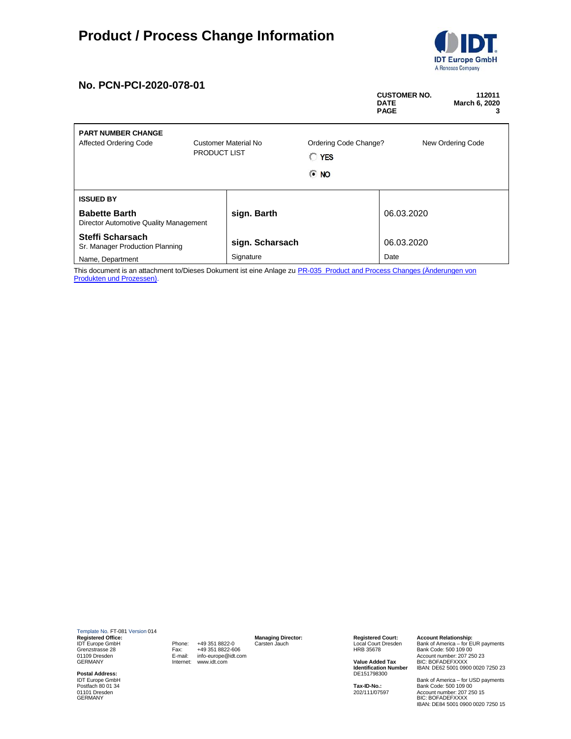## **Product / Process Change Information**



## **No. PCN-PCI-2020-078-01**

|                                                                |                                             |                 |                                            | <b>CUSTOMER NO.</b><br><b>DATE</b><br><b>PAGE</b> | 112011<br>March 6, 2020<br>з |
|----------------------------------------------------------------|---------------------------------------------|-----------------|--------------------------------------------|---------------------------------------------------|------------------------------|
| <b>PART NUMBER CHANGE</b><br><b>Affected Ordering Code</b>     | Customer Material No<br><b>PRODUCT LIST</b> |                 | Ordering Code Change?<br>New Ordering Code |                                                   |                              |
|                                                                |                                             |                 | o<br><b>YES</b>                            |                                                   |                              |
|                                                                |                                             |                 | $\odot$ NO                                 |                                                   |                              |
| <b>ISSUED BY</b>                                               |                                             |                 |                                            |                                                   |                              |
| <b>Babette Barth</b><br>Director Automotive Quality Management |                                             | sign. Barth     |                                            | 06.03.2020                                        |                              |
| Steffi Scharsach<br>Sr. Manager Production Planning            |                                             | sign. Scharsach |                                            | 06.03.2020                                        |                              |
| Name, Department                                               |                                             | Signature       |                                            | Date                                              |                              |

This document is an attachment to/Dieses Dokument ist eine Anlage zu PR-035\_Product and Process Changes (Änderungen von Produkten und Prozessen).

Template No. FT-081 Version 014<br> **Registered Office:**<br>
IDT Europe GmbH<br>
Grenzstrasse 28<br>
01109 Dresden<br>
GERMANY **Registered Office: Managing Director: Registered Court: Account Relationship:** IDT Europe GmbH Phone: +49 351 8822-0 Carsten Jauch Local Court Dresden Bank of America – for EUR payments Grenzstrasse 28 Fax: +49 351 8822-606 HRB 35678 Bank Code: 500 109 00 01109 Dresden E-mail: info-europe@idt.com Account number: 207 250 23 GERMANY **Internet: www.idt.com <b>Value Added Tax** BIC: BOFADEFXXXX

**Postal Address:**<br>IDT Europe GmbH<br>Postfach 80 01 34

**Identification Number** IBAN: DE62 5001 0900 0020 7250 23<br>DE151798300